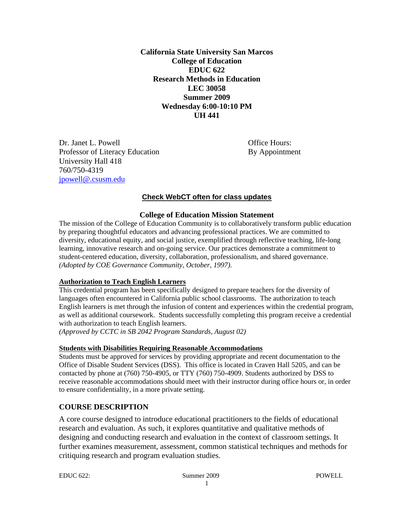**California State University San Marcos College of Education EDUC 622 Research Methods in Education LEC 30058 Summer 2009 Wednesday 6:00-10:10 PM UH 441** 

 University Hall 418 760/750-4319 jpowell@.csusm.edu Dr. Janet L. Powell **Dr. Janet L. Powell Office Hours:** Professor of Literacy Education By Appointment

# **Check WebCT often for class updates**

#### **College of Education Mission Statement**

The mission of the College of Education Community is to collaboratively transform public education by preparing thoughtful educators and advancing professional practices. We are committed to diversity, educational equity, and social justice, exemplified through reflective teaching, life-long learning, innovative research and on-going service. Our practices demonstrate a commitment to student-centered education, diversity, collaboration, professionalism, and shared governance. *(Adopted by COE Governance Community, October, 1997).* 

#### **Authorization to Teach English Learners**

This credential program has been specifically designed to prepare teachers for the diversity of languages often encountered in California public school classrooms. The authorization to teach English learners is met through the infusion of content and experiences within the credential program, as well as additional coursework. Students successfully completing this program receive a credential with authorization to teach English learners.

*(Approved by CCTC in SB 2042 Program Standards, August 02)* 

#### **Students with Disabilities Requiring Reasonable Accommodations**

Students must be approved for services by providing appropriate and recent documentation to the Office of Disable Student Services (DSS). This office is located in Craven Hall 5205, and can be contacted by phone at (760) 750-4905, or TTY (760) 750-4909. Students authorized by DSS to receive reasonable accommodations should meet with their instructor during office hours or, in order to ensure confidentiality, in a more private setting.

## **COURSE DESCRIPTION**

A core course designed to introduce educational practitioners to the fields of educational research and evaluation. As such, it explores quantitative and qualitative methods of designing and conducting research and evaluation in the context of classroom settings. It further examines measurement, assessment, common statistical techniques and methods for critiquing research and program evaluation studies.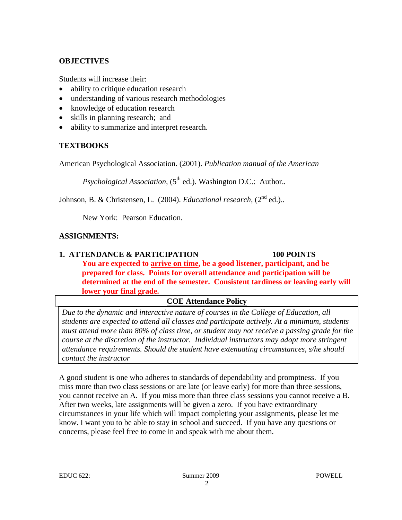## **OBJECTIVES**

Students will increase their:

- ability to critique education research
- understanding of various research methodologies
- knowledge of education research
- skills in planning research; and
- ability to summarize and interpret research.

# **TEXTBOOKS**

American Psychological Association. (2001). *Publication manual of the American* 

*Psychological Association,* (5<sup>th</sup> ed.). Washington D.C.: Author..

Johnson, B. & Christensen, L. (2004). *Educational research*, (2<sup>nd</sup> ed.)..

New York: Pearson Education.

# **ASSIGNMENTS:**

# **1. ATTENDANCE & PARTICIPATION 100 POINTS You are expected to arrive on time, be a good listener, participant, and be prepared for class. Points for overall attendance and participation will be determined at the end of the semester. Consistent tardiness or leaving early will lower your final grade.**

# **COE Attendance Policy**

*Due to the dynamic and interactive nature of courses in the College of Education, all students are expected to attend all classes and participate actively. At a minimum, students must attend more than 80% of class time, or student may not receive a passing grade for the course at the discretion of the instructor. Individual instructors may adopt more stringent attendance requirements. Should the student have extenuating circumstances, s/he should contact the instructor* 

A good student is one who adheres to standards of dependability and promptness. If you miss more than two class sessions or are late (or leave early) for more than three sessions, you cannot receive an A. If you miss more than three class sessions you cannot receive a B. After two weeks, late assignments will be given a zero. If you have extraordinary circumstances in your life which will impact completing your assignments, please let me know. I want you to be able to stay in school and succeed. If you have any questions or concerns, please feel free to come in and speak with me about them.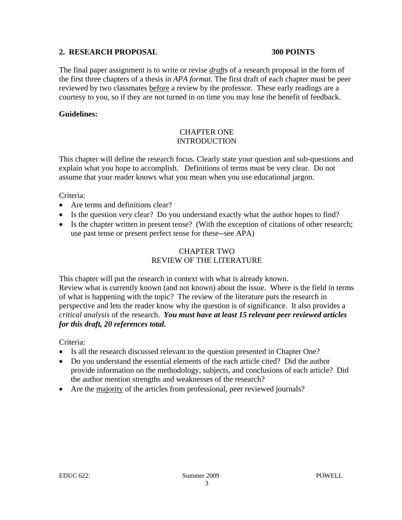## **2. RESEARCH PROPOSAL 300 POINTS**

The final paper assignment is to write or revise *draft*s of a research proposal in the form of the first three chapters of a thesis in *APA format.* The first draft of each chapter must be peer reviewed by two classmates before a review by the professor. These early readings are a courtesy to you, so if they are not turned in on time you may lose the benefit of feedback.

## **Guidelines:**

# CHAPTER ONE INTRODUCTION

This chapter will define the research focus. Clearly state your question and sub-questions and explain what you hope to accomplish. Definitions of terms must be very clear. Do not assume that your reader knows what you mean when you use educational jargon.

## Criteria:

- Are terms and definitions clear?
- Is the question *very* clear? Do you understand exactly what the author hopes to find?
- Is the chapter written in present tense? (With the exception of citations of other research; use past tense or present perfect tense for these--see APA)

## CHAPTER TWO REVIEW OF THE LITERATURE

This chapter will put the research in context with what is already known. Review what is currently known (and not known) about the issue. Where is the field in terms of what is happening with the topic? The review of the literature puts the research in perspective and lets the reader know why the question is of significance. It also provides a *critical analysis* of the research. *You must have at least 15 relevant peer reviewed articles for this draft, 20 references total.* 

Criteria:

- Is all the research discussed relevant to the question presented in Chapter One?
- Do you understand the essential elements of the each article cited? Did the author provide information on the methodology, subjects, and conclusions of each article? Did the author mention strengths and weaknesses of the research?
- Are the majority of the articles from professional, peer reviewed journals?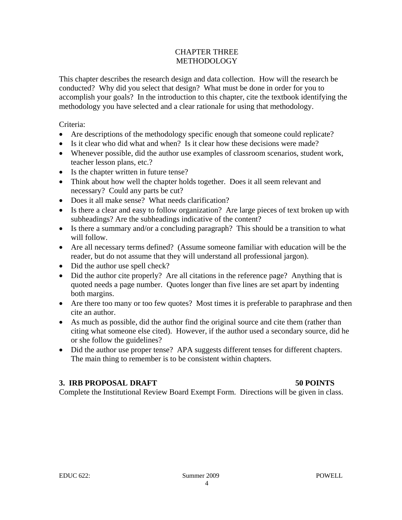## CHAPTER THREE METHODOLOGY

This chapter describes the research design and data collection. How will the research be conducted? Why did you select that design? What must be done in order for you to accomplish your goals? In the introduction to this chapter, cite the textbook identifying the methodology you have selected and a clear rationale for using that methodology.

Criteria:

- Are descriptions of the methodology specific enough that someone could replicate?
- Is it clear who did what and when? Is it clear how these decisions were made?
- Whenever possible, did the author use examples of classroom scenarios, student work, teacher lesson plans, etc.?
- Is the chapter written in future tense?
- Think about how well the chapter holds together. Does it all seem relevant and necessary? Could any parts be cut?
- Does it all make sense? What needs clarification?
- Is there a clear and easy to follow organization? Are large pieces of text broken up with subheadings? Are the subheadings indicative of the content?
- Is there a summary and/or a concluding paragraph? This should be a transition to what will follow.
- Are all necessary terms defined? (Assume someone familiar with education will be the reader, but do not assume that they will understand all professional jargon).
- Did the author use spell check?
- Did the author cite properly? Are all citations in the reference page? Anything that is quoted needs a page number. Quotes longer than five lines are set apart by indenting both margins.
- Are there too many or too few quotes? Most times it is preferable to paraphrase and then cite an author.
- As much as possible, did the author find the original source and cite them (rather than citing what someone else cited). However, if the author used a secondary source, did he or she follow the guidelines?
- Did the author use proper tense? APA suggests different tenses for different chapters. The main thing to remember is to be consistent within chapters.

## **3. IRB PROPOSAL DRAFT**

## **50 POINTS**

Complete the Institutional Review Board Exempt Form. Directions will be given in class.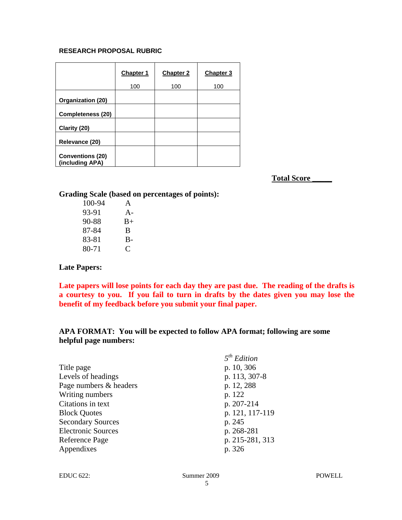#### **RESEARCH PROPOSAL RUBRIC**

|                                            | Chapter 1 | Chapter 2 | Chapter 3 |
|--------------------------------------------|-----------|-----------|-----------|
|                                            | 100       | 100       | 100       |
| Organization (20)                          |           |           |           |
| <b>Completeness (20)</b>                   |           |           |           |
| Clarity (20)                               |           |           |           |
| Relevance (20)                             |           |           |           |
| <b>Conventions (20)</b><br>(including APA) |           |           |           |

**Total Score \_\_\_\_\_** 

#### **Grading Scale (based on percentages of points):**

| 100-94 | A     |
|--------|-------|
| 93-91  | $A -$ |
| 90-88  | $B+$  |
| 87-84  | B     |
| 83-81  | $B -$ |
| 80-71  | C     |

#### **Late Papers:**

**Late papers will lose points for each day they are past due. The reading of the drafts is a courtesy to you. If you fail to turn in drafts by the dates given you may lose the benefit of my feedback before you submit your final paper.** 

## **APA FORMAT: You will be expected to follow APA format; following are some helpful page numbers:**

|                           | 5 <sup>th</sup> Edition |
|---------------------------|-------------------------|
| Title page                | p. 10, 306              |
| Levels of headings        | p. 113, 307-8           |
| Page numbers & headers    | p. 12, 288              |
| Writing numbers           | p. 122                  |
| Citations in text         | p. 207-214              |
| <b>Block Quotes</b>       | p. 121, 117-119         |
| <b>Secondary Sources</b>  | p. 245                  |
| <b>Electronic Sources</b> | p. 268-281              |
| Reference Page            | p. 215-281, 313         |
| Appendixes                | p. 326                  |
|                           |                         |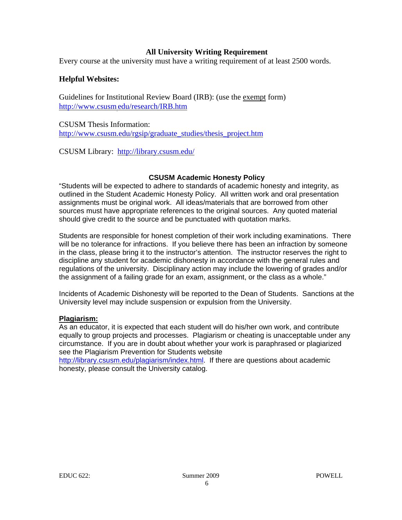## **All University Writing Requirement**

Every course at the university must have a writing requirement of at least 2500 words.

## **Helpful Websites:**

http://www.csusm\_edu/research/IRB.htm Guidelines for Institutional Review Board (IRB): (use the exempt form)

http://www.csusm.edu/rgsip/graduate\_studies/thesis\_project.htm<br>CSUSM Library: <u>http://library.csusm.edu/</u> CSUSM Thesis Information:

CSUSM Library: http://library.csusm.edu/

#### **CSUSM Academic Honesty Policy**

"Students will be expected to adhere to standards of academic honesty and integrity, as outlined in the Student Academic Honesty Policy. All written work and oral presentation assignments must be original work. All ideas/materials that are borrowed from other sources must have appropriate references to the original sources. Any quoted material should give credit to the source and be punctuated with quotation marks.

Students are responsible for honest completion of their work including examinations. There will be no tolerance for infractions. If you believe there has been an infraction by someone in the class, please bring it to the instructor's attention. The instructor reserves the right to discipline any student for academic dishonesty in accordance with the general rules and regulations of the university. Disciplinary action may include the lowering of grades and/or the assignment of a failing grade for an exam, assignment, or the class as a whole."

Incidents of Academic Dishonesty will be reported to the Dean of Students. Sanctions at the University level may include suspension or expulsion from the University.

#### **Plagiarism:**

As an educator, it is expected that each student will do his/her own work, and contribute equally to group projects and processes. Plagiarism or cheating is unacceptable under any circumstance. If you are in doubt about whether your work is paraphrased or plagiarized see the Plagiarism Prevention for Students website

http://library.csusm.edu/plagiarism/index.html. If there are questions about academic honesty, please consult the University catalog.